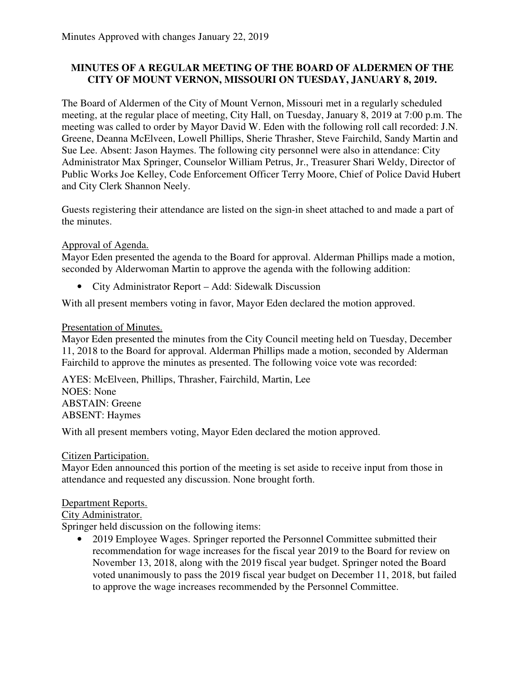### **MINUTES OF A REGULAR MEETING OF THE BOARD OF ALDERMEN OF THE CITY OF MOUNT VERNON, MISSOURI ON TUESDAY, JANUARY 8, 2019.**

The Board of Aldermen of the City of Mount Vernon, Missouri met in a regularly scheduled meeting, at the regular place of meeting, City Hall, on Tuesday, January 8, 2019 at 7:00 p.m. The meeting was called to order by Mayor David W. Eden with the following roll call recorded: J.N. Greene, Deanna McElveen, Lowell Phillips, Sherie Thrasher, Steve Fairchild, Sandy Martin and Sue Lee. Absent: Jason Haymes. The following city personnel were also in attendance: City Administrator Max Springer, Counselor William Petrus, Jr., Treasurer Shari Weldy, Director of Public Works Joe Kelley, Code Enforcement Officer Terry Moore, Chief of Police David Hubert and City Clerk Shannon Neely.

Guests registering their attendance are listed on the sign-in sheet attached to and made a part of the minutes.

### Approval of Agenda.

Mayor Eden presented the agenda to the Board for approval. Alderman Phillips made a motion, seconded by Alderwoman Martin to approve the agenda with the following addition:

• City Administrator Report – Add: Sidewalk Discussion

With all present members voting in favor, Mayor Eden declared the motion approved.

### Presentation of Minutes.

Mayor Eden presented the minutes from the City Council meeting held on Tuesday, December 11, 2018 to the Board for approval. Alderman Phillips made a motion, seconded by Alderman Fairchild to approve the minutes as presented. The following voice vote was recorded:

AYES: McElveen, Phillips, Thrasher, Fairchild, Martin, Lee NOES: None ABSTAIN: Greene ABSENT: Haymes

With all present members voting, Mayor Eden declared the motion approved.

#### Citizen Participation.

Mayor Eden announced this portion of the meeting is set aside to receive input from those in attendance and requested any discussion. None brought forth.

#### Department Reports.

#### City Administrator.

Springer held discussion on the following items:

• 2019 Employee Wages. Springer reported the Personnel Committee submitted their recommendation for wage increases for the fiscal year 2019 to the Board for review on November 13, 2018, along with the 2019 fiscal year budget. Springer noted the Board voted unanimously to pass the 2019 fiscal year budget on December 11, 2018, but failed to approve the wage increases recommended by the Personnel Committee.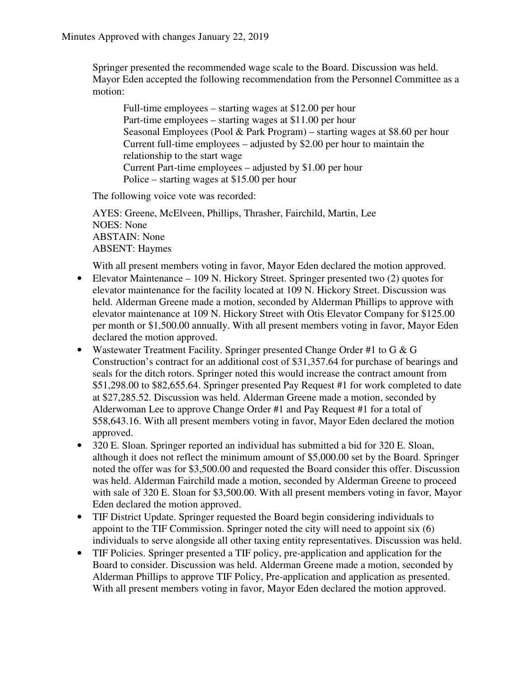Springer presented the recommended wage scale to the Board. Discussion was held. Mayor Eden accepted the following recommendation from the Personnel Committee as a motion:

Full-time employees – starting wages at \$12.00 per hour Part-time employees – starting wages at \$11.00 per hour Seasonal Employees (Pool & Park Program) – starting wages at \$8.60 per hour Current full-time employees – adjusted by \$2.00 per hour to maintain the relationship to the start wage Current Part-time employees – adjusted by \$1.00 per hour Police – starting wages at \$15.00 per hour

The following voice vote was recorded:

AYES: Greene, McElveen, Phillips, Thrasher, Fairchild, Martin, Lee NOES: None ABSTAIN: None ABSENT: Haymes

With all present members voting in favor, Mayor Eden declared the motion approved.

- Elevator Maintenance 109 N. Hickory Street. Springer presented two (2) quotes for elevator maintenance for the facility located at 109 N. Hickory Street. Discussion was held. Alderman Greene made a motion, seconded by Alderman Phillips to approve with elevator maintenance at 109 N. Hickory Street with Otis Elevator Company for \$125.00 per month or \$1,500.00 annually. With all present members voting in favor, Mayor Eden declared the motion approved.
- Wastewater Treatment Facility. Springer presented Change Order #1 to G & G Construction's contract for an additional cost of \$31,357.64 for purchase of bearings and seals for the ditch rotors. Springer noted this would increase the contract amount from \$51,298.00 to \$82,655.64. Springer presented Pay Request #1 for work completed to date at \$27,285.52. Discussion was held. Alderman Greene made a motion, seconded by Alderwoman Lee to approve Change Order #1 and Pay Request #1 for a total of \$58,643.16. With all present members voting in favor, Mayor Eden declared the motion approved.
- 320 E. Sloan. Springer reported an individual has submitted a bid for 320 E. Sloan, although it does not reflect the minimum amount of \$5,000.00 set by the Board. Springer noted the offer was for \$3,500.00 and requested the Board consider this offer. Discussion was held. Alderman Fairchild made a motion, seconded by Alderman Greene to proceed with sale of 320 E. Sloan for \$3,500.00. With all present members voting in favor, Mayor Eden declared the motion approved.
- TIF District Update. Springer requested the Board begin considering individuals to appoint to the TIF Commission. Springer noted the city will need to appoint six (6) individuals to serve alongside all other taxing entity representatives. Discussion was held.
- TIF Policies. Springer presented a TIF policy, pre-application and application for the Board to consider. Discussion was held. Alderman Greene made a motion, seconded by Alderman Phillips to approve TIF Policy, Pre-application and application as presented. With all present members voting in favor, Mayor Eden declared the motion approved.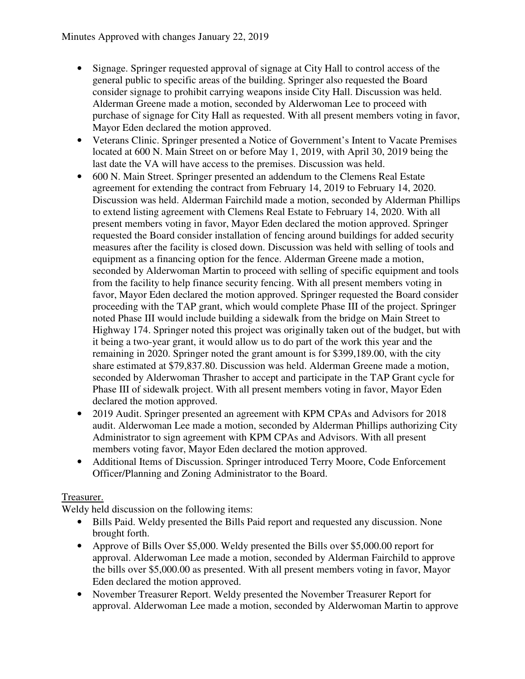- Signage. Springer requested approval of signage at City Hall to control access of the general public to specific areas of the building. Springer also requested the Board consider signage to prohibit carrying weapons inside City Hall. Discussion was held. Alderman Greene made a motion, seconded by Alderwoman Lee to proceed with purchase of signage for City Hall as requested. With all present members voting in favor, Mayor Eden declared the motion approved.
- Veterans Clinic. Springer presented a Notice of Government's Intent to Vacate Premises located at 600 N. Main Street on or before May 1, 2019, with April 30, 2019 being the last date the VA will have access to the premises. Discussion was held.
- 600 N. Main Street. Springer presented an addendum to the Clemens Real Estate agreement for extending the contract from February 14, 2019 to February 14, 2020. Discussion was held. Alderman Fairchild made a motion, seconded by Alderman Phillips to extend listing agreement with Clemens Real Estate to February 14, 2020. With all present members voting in favor, Mayor Eden declared the motion approved. Springer requested the Board consider installation of fencing around buildings for added security measures after the facility is closed down. Discussion was held with selling of tools and equipment as a financing option for the fence. Alderman Greene made a motion, seconded by Alderwoman Martin to proceed with selling of specific equipment and tools from the facility to help finance security fencing. With all present members voting in favor, Mayor Eden declared the motion approved. Springer requested the Board consider proceeding with the TAP grant, which would complete Phase III of the project. Springer noted Phase III would include building a sidewalk from the bridge on Main Street to Highway 174. Springer noted this project was originally taken out of the budget, but with it being a two-year grant, it would allow us to do part of the work this year and the remaining in 2020. Springer noted the grant amount is for \$399,189.00, with the city share estimated at \$79,837.80. Discussion was held. Alderman Greene made a motion, seconded by Alderwoman Thrasher to accept and participate in the TAP Grant cycle for Phase III of sidewalk project. With all present members voting in favor, Mayor Eden declared the motion approved.
- 2019 Audit. Springer presented an agreement with KPM CPAs and Advisors for 2018 audit. Alderwoman Lee made a motion, seconded by Alderman Phillips authorizing City Administrator to sign agreement with KPM CPAs and Advisors. With all present members voting favor, Mayor Eden declared the motion approved.
- Additional Items of Discussion. Springer introduced Terry Moore, Code Enforcement Officer/Planning and Zoning Administrator to the Board.

# Treasurer.

Weldy held discussion on the following items:

- Bills Paid. Weldy presented the Bills Paid report and requested any discussion. None brought forth.
- Approve of Bills Over \$5,000. Weldy presented the Bills over \$5,000.00 report for approval. Alderwoman Lee made a motion, seconded by Alderman Fairchild to approve the bills over \$5,000.00 as presented. With all present members voting in favor, Mayor Eden declared the motion approved.
- November Treasurer Report. Weldy presented the November Treasurer Report for approval. Alderwoman Lee made a motion, seconded by Alderwoman Martin to approve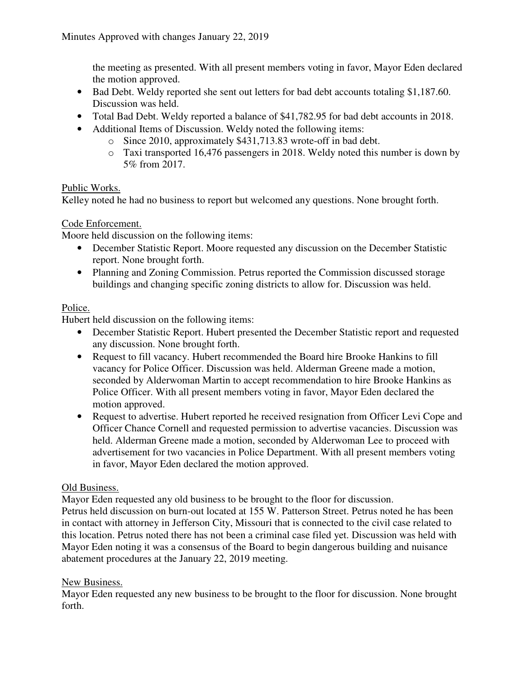the meeting as presented. With all present members voting in favor, Mayor Eden declared the motion approved.

- Bad Debt. Weldy reported she sent out letters for bad debt accounts totaling \$1,187.60. Discussion was held.
- Total Bad Debt. Weldy reported a balance of \$41,782.95 for bad debt accounts in 2018.
- Additional Items of Discussion. Weldy noted the following items:
	- o Since 2010, approximately \$431,713.83 wrote-off in bad debt.
	- o Taxi transported 16,476 passengers in 2018. Weldy noted this number is down by 5% from 2017.

### Public Works.

Kelley noted he had no business to report but welcomed any questions. None brought forth.

## Code Enforcement.

Moore held discussion on the following items:

- December Statistic Report. Moore requested any discussion on the December Statistic report. None brought forth.
- Planning and Zoning Commission. Petrus reported the Commission discussed storage buildings and changing specific zoning districts to allow for. Discussion was held.

## Police.

Hubert held discussion on the following items:

- December Statistic Report. Hubert presented the December Statistic report and requested any discussion. None brought forth.
- Request to fill vacancy. Hubert recommended the Board hire Brooke Hankins to fill vacancy for Police Officer. Discussion was held. Alderman Greene made a motion, seconded by Alderwoman Martin to accept recommendation to hire Brooke Hankins as Police Officer. With all present members voting in favor, Mayor Eden declared the motion approved.
- Request to advertise. Hubert reported he received resignation from Officer Levi Cope and Officer Chance Cornell and requested permission to advertise vacancies. Discussion was held. Alderman Greene made a motion, seconded by Alderwoman Lee to proceed with advertisement for two vacancies in Police Department. With all present members voting in favor, Mayor Eden declared the motion approved.

# Old Business.

Mayor Eden requested any old business to be brought to the floor for discussion. Petrus held discussion on burn-out located at 155 W. Patterson Street. Petrus noted he has been in contact with attorney in Jefferson City, Missouri that is connected to the civil case related to this location. Petrus noted there has not been a criminal case filed yet. Discussion was held with Mayor Eden noting it was a consensus of the Board to begin dangerous building and nuisance abatement procedures at the January 22, 2019 meeting.

# New Business.

Mayor Eden requested any new business to be brought to the floor for discussion. None brought forth.